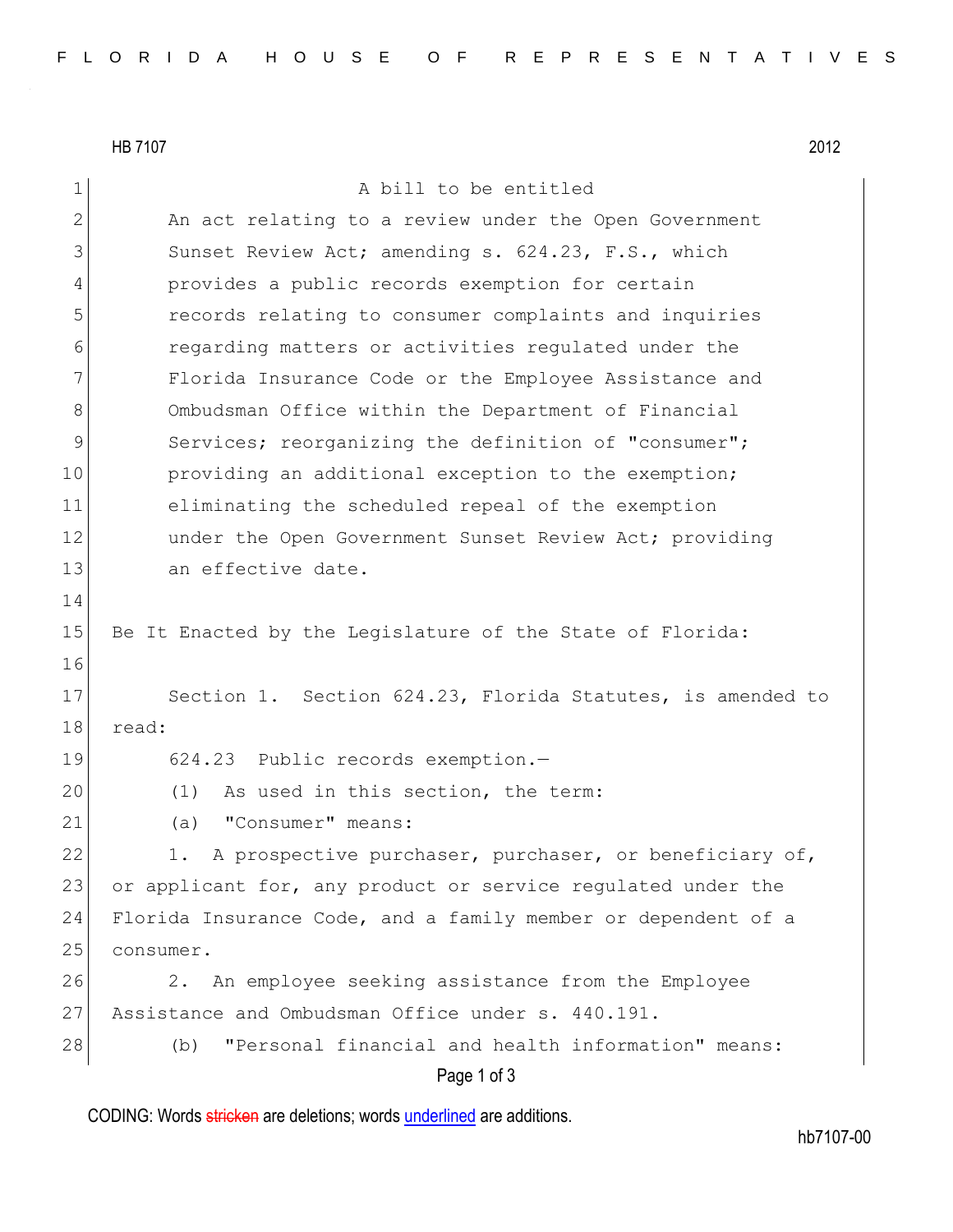HB 7107 2012 Page 1 of 3 1 A bill to be entitled 2 An act relating to a review under the Open Government 3 Sunset Review Act; amending s. 624.23, F.S., which 4 provides a public records exemption for certain 5 records relating to consumer complaints and inquiries 6 regarding matters or activities regulated under the 7 Florida Insurance Code or the Employee Assistance and 8 Ombudsman Office within the Department of Financial 9 Services; reorganizing the definition of "consumer"; 10 providing an additional exception to the exemption; 11 eliminating the scheduled repeal of the exemption 12 under the Open Government Sunset Review Act; providing 13 an effective date. 14 15 Be It Enacted by the Legislature of the State of Florida: 16 17 Section 1. Section 624.23, Florida Statutes, is amended to 18 read: 19 624.23 Public records exemption.-20 (1) As used in this section, the term: 21 (a) "Consumer" means: 22 1. A prospective purchaser, purchaser, or beneficiary of, 23 or applicant for, any product or service regulated under the 24 Florida Insurance Code, and a family member or dependent of a 25 consumer. 26 2. An employee seeking assistance from the Employee 27 Assistance and Ombudsman Office under s. 440.191. 28 (b) "Personal financial and health information" means:

CODING: Words stricken are deletions; words underlined are additions.

hb7107-00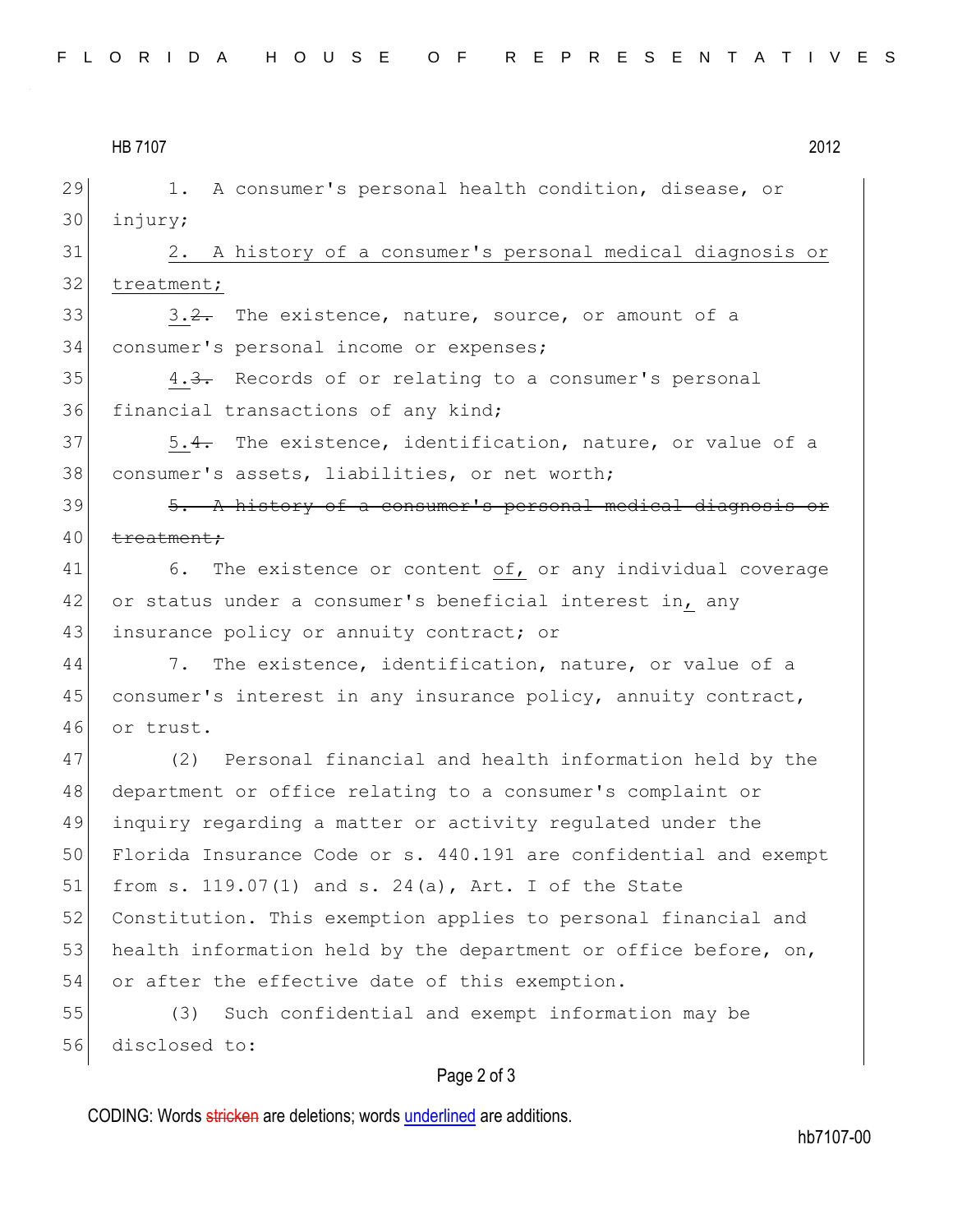| 2012 |
|------|
|      |

29 1. A consumer's personal health condition, disease, or 30 injury;

31 2. A history of a consumer's personal medical diagnosis or 32 treatment;

 $33$   $3.2$ . The existence, nature, source, or amount of a 34 consumer's personal income or expenses;

 $35$  4.3. Records of or relating to a consumer's personal 36 financial transactions of any kind;

37 5.4. The existence, identification, nature, or value of a 38 consumer's assets, liabilities, or net worth;

 $39$   $\overline{5. A}$  history of a consumer's personal medical diagnosis or 40 treatment;

41 6. The existence or content of, or any individual coverage 42 or status under a consumer's beneficial interest in, any 43 insurance policy or annuity contract; or

44 7. The existence, identification, nature, or value of a 45 consumer's interest in any insurance policy, annuity contract, 46 or trust.

 (2) Personal financial and health information held by the department or office relating to a consumer's complaint or inquiry regarding a matter or activity regulated under the Florida Insurance Code or s. 440.191 are confidential and exempt 51 from s. 119.07(1) and s. 24(a), Art. I of the State Constitution. This exemption applies to personal financial and 53 health information held by the department or office before, on, or after the effective date of this exemption.

55 (3) Such confidential and exempt information may be 56 disclosed to:

## Page 2 of 3

CODING: Words stricken are deletions; words underlined are additions.